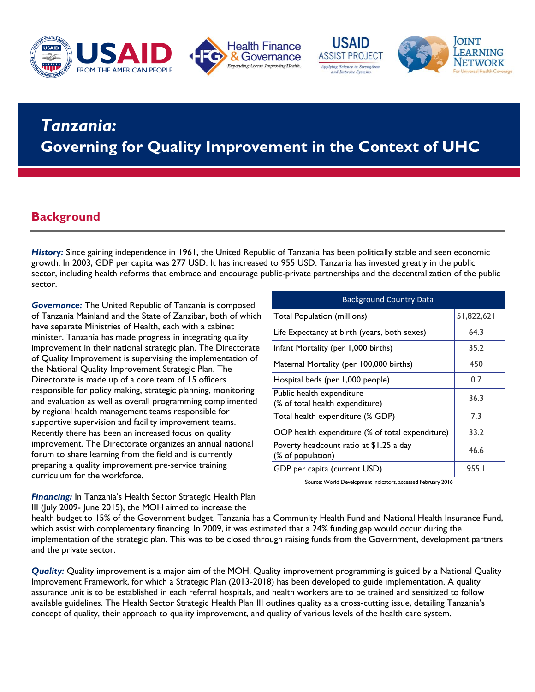







## **RWANDA A DOMESTIC RESOURCE MOBILIZATION FOR HEALTH** *Tanzania:*  **Governing for Quality Improvement in the Context of UHC**

### **Background**

*History:* Since gaining independence in 1961, the United Republic of Tanzania has been politically stable and seen economic growth. In 2003, GDP per capita was 277 USD. It has increased to 955 USD. Tanzania has invested greatly in the public sector, including health reforms that embrace and encourage public-private partnerships and the decentralization of the public sector.

*Governance:* The United Republic of Tanzania is composed of Tanzania Mainland and the State of Zanzibar, both of which have separate Ministries of Health, each with a cabinet minister. Tanzania has made progress in integrating quality improvement in their national strategic plan. The Directorate of Quality Improvement is supervising the implementation of the National Quality Improvement Strategic Plan. The Directorate is made up of a core team of 15 officers responsible for policy making, strategic planning, monitoring and evaluation as well as overall programming complimented by regional health management teams responsible for supportive supervision and facility improvement teams. Recently there has been an increased focus on quality improvement. The Directorate organizes an annual national forum to share learning from the field and is currently preparing a quality improvement pre-service training curriculum for the workforce.

| <b>Background Country Data</b>                               |            |
|--------------------------------------------------------------|------------|
| <b>Total Population (millions)</b>                           | 51,822,621 |
| Life Expectancy at birth (years, both sexes)                 | 64.3       |
| Infant Mortality (per 1,000 births)                          | 35.2       |
| Maternal Mortality (per 100,000 births)                      | 450        |
| Hospital beds (per 1,000 people)                             | 0.7        |
| Public health expenditure<br>(% of total health expenditure) | 36.3       |
| Total health expenditure (% GDP)                             | 7.3        |
| OOP health expenditure (% of total expenditure)              | 33.2       |
| Poverty headcount ratio at \$1.25 a day<br>(% of population) | 46.6       |
| GDP per capita (current USD)                                 | 955.I      |

Source: World Development Indicators, accessed February 2016

*Financing:* In Tanzania's Health Sector Strategic Health Plan III (July 2009- June 2015), the MOH aimed to increase the

health budget to 15% of the Government budget. Tanzania has a Community Health Fund and National Health Insurance Fund, which assist with complementary financing. In 2009, it was estimated that a 24% funding gap would occur during the implementation of the strategic plan. This was to be closed through raising funds from the Government, development partners and the private sector.

*Quality:* Quality improvement is a major aim of the MOH. Quality improvement programming is guided by a National Quality Improvement Framework, for which a Strategic Plan (2013-2018) has been developed to guide implementation. A quality assurance unit is to be established in each referral hospitals, and health workers are to be trained and sensitized to follow available guidelines. The Health Sector Strategic Health Plan III outlines quality as a cross-cutting issue, detailing Tanzania's concept of quality, their approach to quality improvement, and quality of various levels of the health care system.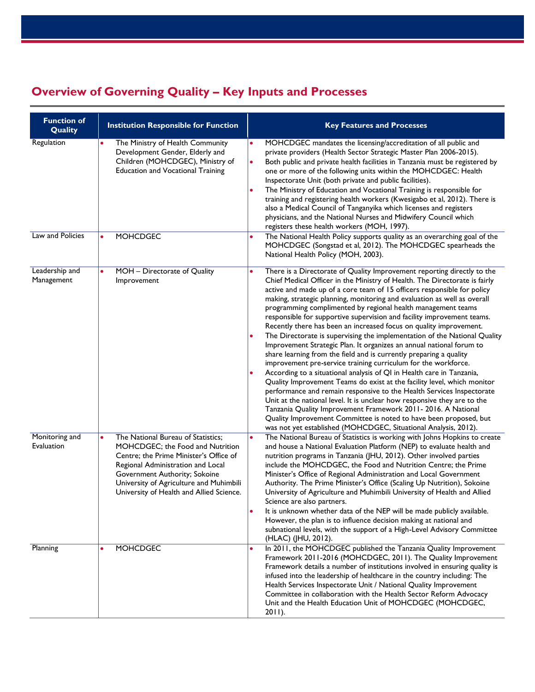# **Overview of Governing Quality – Key Inputs and Processes**

| <b>Function of</b><br>Quality | <b>Institution Responsible for Function</b>                                                                                                                                                                                                                                   | <b>Key Features and Processes</b>                                                                                                                                                                                                                                                                                                                                                                                                                                                                                                                                                                                                                                                                                                                                                                                                                                                                                                                                                                                                                                                                                                                                                                                                                                                                                                               |
|-------------------------------|-------------------------------------------------------------------------------------------------------------------------------------------------------------------------------------------------------------------------------------------------------------------------------|-------------------------------------------------------------------------------------------------------------------------------------------------------------------------------------------------------------------------------------------------------------------------------------------------------------------------------------------------------------------------------------------------------------------------------------------------------------------------------------------------------------------------------------------------------------------------------------------------------------------------------------------------------------------------------------------------------------------------------------------------------------------------------------------------------------------------------------------------------------------------------------------------------------------------------------------------------------------------------------------------------------------------------------------------------------------------------------------------------------------------------------------------------------------------------------------------------------------------------------------------------------------------------------------------------------------------------------------------|
| Regulation                    | The Ministry of Health Community<br>Development Gender, Elderly and<br>Children (MOHCDGEC), Ministry of<br><b>Education and Vocational Training</b>                                                                                                                           | MOHCDGEC mandates the licensing/accreditation of all public and<br>private providers (Health Sector Strategic Master Plan 2006-2015).<br>Both public and private health facilities in Tanzania must be registered by<br>$\bullet$<br>one or more of the following units within the MOHCDGEC: Health<br>Inspectorate Unit (both private and public facilities).<br>The Ministry of Education and Vocational Training is responsible for<br>training and registering health workers (Kwesigabo et al, 2012). There is<br>also a Medical Council of Tanganyika which licenses and registers<br>physicians, and the National Nurses and Midwifery Council which<br>registers these health workers (MOH, 1997).                                                                                                                                                                                                                                                                                                                                                                                                                                                                                                                                                                                                                                      |
| Law and Policies              | <b>MOHCDGEC</b>                                                                                                                                                                                                                                                               | The National Health Policy supports quality as an overarching goal of the<br>MOHCDGEC (Songstad et al, 2012). The MOHCDGEC spearheads the<br>National Health Policy (MOH, 2003).                                                                                                                                                                                                                                                                                                                                                                                                                                                                                                                                                                                                                                                                                                                                                                                                                                                                                                                                                                                                                                                                                                                                                                |
| Leadership and<br>Management  | MOH - Directorate of Quality<br>Improvement                                                                                                                                                                                                                                   | There is a Directorate of Quality Improvement reporting directly to the<br>٠<br>Chief Medical Officer in the Ministry of Health. The Directorate is fairly<br>active and made up of a core team of 15 officers responsible for policy<br>making, strategic planning, monitoring and evaluation as well as overall<br>programming complimented by regional health management teams<br>responsible for supportive supervision and facility improvement teams.<br>Recently there has been an increased focus on quality improvement.<br>The Directorate is supervising the implementation of the National Quality<br>Improvement Strategic Plan. It organizes an annual national forum to<br>share learning from the field and is currently preparing a quality<br>improvement pre-service training curriculum for the workforce.<br>According to a situational analysis of QI in Health care in Tanzania,<br>Quality Improvement Teams do exist at the facility level, which monitor<br>performance and remain responsive to the Health Services Inspectorate<br>Unit at the national level. It is unclear how responsive they are to the<br>Tanzania Quality Improvement Framework 2011-2016. A National<br>Quality Improvement Committee is noted to have been proposed, but<br>was not yet established (MOHCDGEC, Situational Analysis, 2012). |
| Monitoring and<br>Evaluation  | The National Bureau of Statistics;<br>MOHCDGEC; the Food and Nutrition<br>Centre; the Prime Minister's Office of<br>Regional Administration and Local<br>Government Authority; Sokoine<br>University of Agriculture and Muhimbili<br>University of Health and Allied Science. | The National Bureau of Statistics is working with Johns Hopkins to create<br>and house a National Evaluation Platform (NEP) to evaluate health and<br>nutrition programs in Tanzania (JHU, 2012). Other involved parties<br>include the MOHCDGEC, the Food and Nutrition Centre; the Prime<br>Minister's Office of Regional Administration and Local Government<br>Authority. The Prime Minister's Office (Scaling Up Nutrition), Sokoine<br>University of Agriculture and Muhimbili University of Health and Allied<br>Science are also partners.<br>It is unknown whether data of the NEP will be made publicly available.<br>However, the plan is to influence decision making at national and<br>subnational levels, with the support of a High-Level Advisory Committee<br>(HLAC) (JHU, 2012).                                                                                                                                                                                                                                                                                                                                                                                                                                                                                                                                             |
| Planning                      | <b>MOHCDGEC</b>                                                                                                                                                                                                                                                               | In 2011, the MOHCDGEC published the Tanzania Quality Improvement<br>$\bullet$<br>Framework 2011-2016 (MOHCDGEC, 2011). The Quality Improvement<br>Framework details a number of institutions involved in ensuring quality is<br>infused into the leadership of healthcare in the country including: The<br>Health Services Inspectorate Unit / National Quality Improvement<br>Committee in collaboration with the Health Sector Reform Advocacy<br>Unit and the Health Education Unit of MOHCDGEC (MOHCDGEC,<br>$2011$ ).                                                                                                                                                                                                                                                                                                                                                                                                                                                                                                                                                                                                                                                                                                                                                                                                                      |